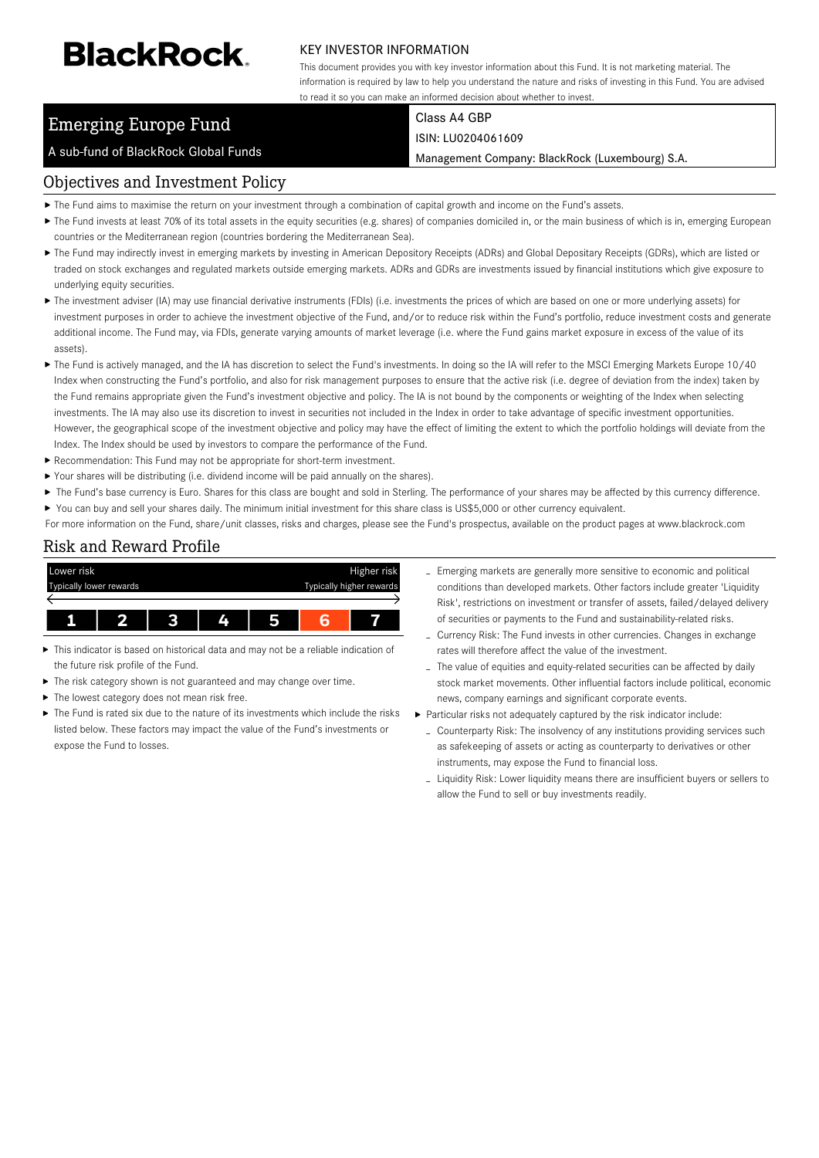# **BlackRock**

#### KEY INVESTOR INFORMATION

This document provides you with key investor information about this Fund. It is not marketing material. The information is required by law to help you understand the nature and risks of investing in this Fund. You are advised to read it so you can make an informed decision about whether to invest.

# Emerging Europe Fund

A sub-fund of BlackRock Global Funds

Class A4 GBP ISIN: LU0204061609

Management Company: BlackRock (Luxembourg) S.A.

## Objectives and Investment Policy

- The Fund aims to maximise the return on your investment through a combination of capital growth and income on the Fund's assets.
- ▶ The Fund invests at least 70% of its total assets in the equity securities (e.g. shares) of companies domiciled in, or the main business of which is in, emerging European countries or the Mediterranean region (countries bordering the Mediterranean Sea).
- ▶ The Fund may indirectly invest in emerging markets by investing in American Depository Receipts (ADRs) and Global Depositary Receipts (GDRs), which are listed or traded on stock exchanges and regulated markets outside emerging markets. ADRs and GDRs are investments issued by financial institutions which give exposure to underlying equity securities.
- ▶ The investment adviser (IA) may use financial derivative instruments (FDIs) (i.e. investments the prices of which are based on one or more underlying assets) for investment purposes in order to achieve the investment objective of the Fund, and/or to reduce risk within the Fund's portfolio, reduce investment costs and generate additional income. The Fund may, via FDIs, generate varying amounts of market leverage (i.e. where the Fund gains market exposure in excess of the value of its assets).
- ▶ The Fund is actively managed, and the IA has discretion to select the Fund's investments. In doing so the IA will refer to the MSCI Emerging Markets Europe 10/40 Index when constructing the Fund's portfolio, and also for risk management purposes to ensure that the active risk (i.e. degree of deviation from the index) taken by the Fund remains appropriate given the Fund's investment objective and policy. The IA is not bound by the components or weighting of the Index when selecting investments. The IA may also use its discretion to invest in securities not included in the Index in order to take advantage of specific investment opportunities. However, the geographical scope of the investment objective and policy may have the effect of limiting the extent to which the portfolio holdings will deviate from the Index. The Index should be used by investors to compare the performance of the Fund.
- Recommendation: This Fund may not be appropriate for short-term investment.
- Your shares will be distributing (i.e. dividend income will be paid annually on the shares).
- ▶ The Fund's base currency is Euro. Shares for this class are bought and sold in Sterling. The performance of your shares may be affected by this currency difference.
- ▶ You can buy and sell your shares daily. The minimum initial investment for this share class is US\$5,000 or other currency equivalent.
- For more information on the Fund, share/unit classes, risks and charges, please see the Fund's prospectus, available on the product pages at www.blackrock.com

## Risk and Reward Profile



- This indicator is based on historical data and may not be a reliable indication of the future risk profile of the Fund.
- × The risk category shown is not guaranteed and may change over time.
- The lowest category does not mean risk free.
- The Fund is rated six due to the nature of its investments which include the risks listed below. These factors may impact the value of the Fund's investments or expose the Fund to losses.
- Emerging markets are generally more sensitive to economic and political conditions than developed markets. Other factors include greater 'Liquidity Risk', restrictions on investment or transfer of assets, failed/delayed delivery of securities or payments to the Fund and sustainability-related risks.
- Currency Risk: The Fund invests in other currencies. Changes in exchange rates will therefore affect the value of the investment.
- The value of equities and equity-related securities can be affected by daily stock market movements. Other influential factors include political, economic news, company earnings and significant corporate events.
- Particular risks not adequately captured by the risk indicator include:
	- Counterparty Risk: The insolvency of any institutions providing services such as safekeeping of assets or acting as counterparty to derivatives or other instruments, may expose the Fund to financial loss.
	- Liquidity Risk: Lower liquidity means there are insufficient buyers or sellers to allow the Fund to sell or buy investments readily.